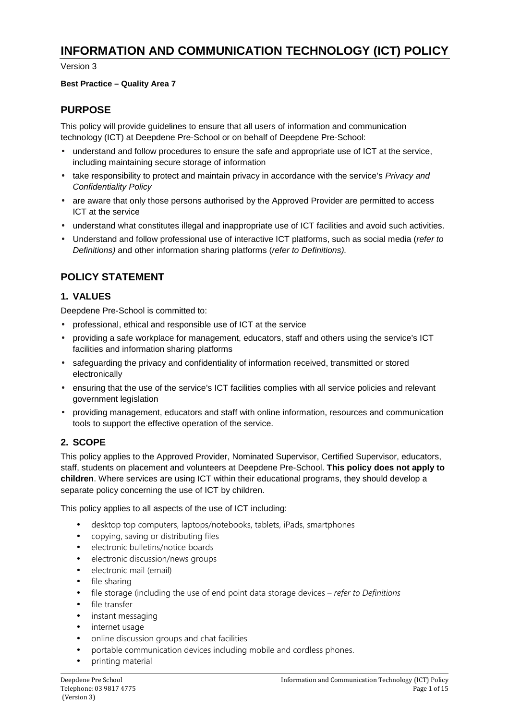# **INFORMATION AND COMMUNICATION TECHNOLOGY (ICT) POLICY**

Version 3

### **Best Practice – Quality Area 7**

## **PURPOSE**

This policy will provide guidelines to ensure that all users of information and communication technology (ICT) at Deepdene Pre-School or on behalf of Deepdene Pre-School:

- understand and follow procedures to ensure the safe and appropriate use of ICT at the service, including maintaining secure storage of information
- take responsibility to protect and maintain privacy in accordance with the service's Privacy and Confidentiality Policy
- are aware that only those persons authorised by the Approved Provider are permitted to access ICT at the service
- understand what constitutes illegal and inappropriate use of ICT facilities and avoid such activities.
- Understand and follow professional use of interactive ICT platforms, such as social media (refer to Definitions) and other information sharing platforms (refer to Definitions).

# **POLICY STATEMENT**

### **1. VALUES**

Deepdene Pre-School is committed to:

- professional, ethical and responsible use of ICT at the service
- providing a safe workplace for management, educators, staff and others using the service's ICT facilities and information sharing platforms
- safeguarding the privacy and confidentiality of information received, transmitted or stored electronically
- ensuring that the use of the service's ICT facilities complies with all service policies and relevant government legislation
- providing management, educators and staff with online information, resources and communication tools to support the effective operation of the service.

### **2. SCOPE**

This policy applies to the Approved Provider, Nominated Supervisor, Certified Supervisor, educators, staff, students on placement and volunteers at Deepdene Pre-School. **This policy does not apply to children**. Where services are using ICT within their educational programs, they should develop a separate policy concerning the use of ICT by children.

This policy applies to all aspects of the use of ICT including:

- desktop top computers, laptops/notebooks, tablets, iPads, smartphones
- copying, saving or distributing files
- electronic bulletins/notice boards
- electronic discussion/news groups
- electronic mail (email)
- file sharing
- file storage (including the use of end point data storage devices *refer to Definitions*
- file transfer
- instant messaging
- internet usage
- online discussion groups and chat facilities
- portable communication devices including mobile and cordless phones.
- printing material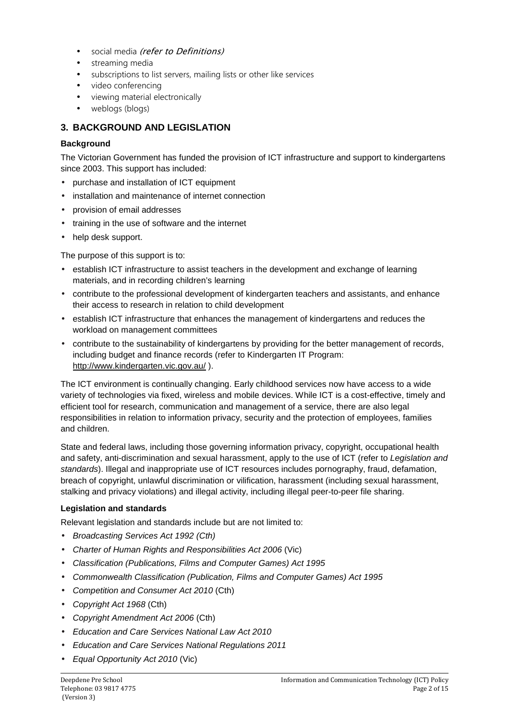- social media (refer to Definitions)
- streaming media
- subscriptions to list servers, mailing lists or other like services
- video conferencing
- viewing material electronically
- weblogs (blogs)

### **3. BACKGROUND AND LEGISLATION**

### **Background**

The Victorian Government has funded the provision of ICT infrastructure and support to kindergartens since 2003. This support has included:

- purchase and installation of ICT equipment
- installation and maintenance of internet connection
- provision of email addresses
- training in the use of software and the internet
- help desk support.

The purpose of this support is to:

- establish ICT infrastructure to assist teachers in the development and exchange of learning materials, and in recording children's learning
- contribute to the professional development of kindergarten teachers and assistants, and enhance their access to research in relation to child development
- establish ICT infrastructure that enhances the management of kindergartens and reduces the workload on management committees
- contribute to the sustainability of kindergartens by providing for the better management of records, including budget and finance records (refer to Kindergarten IT Program: http://www.kindergarten.vic.gov.au/ ).

The ICT environment is continually changing. Early childhood services now have access to a wide variety of technologies via fixed, wireless and mobile devices. While ICT is a cost-effective, timely and efficient tool for research, communication and management of a service, there are also legal responsibilities in relation to information privacy, security and the protection of employees, families and children.

State and federal laws, including those governing information privacy, copyright, occupational health and safety, anti-discrimination and sexual harassment, apply to the use of ICT (refer to Legislation and standards). Illegal and inappropriate use of ICT resources includes pornography, fraud, defamation, breach of copyright, unlawful discrimination or vilification, harassment (including sexual harassment, stalking and privacy violations) and illegal activity, including illegal peer-to-peer file sharing.

### **Legislation and standards**

Relevant legislation and standards include but are not limited to:

- Broadcasting Services Act 1992 (Cth)
- Charter of Human Rights and Responsibilities Act 2006 (Vic)
- Classification (Publications, Films and Computer Games) Act 1995
- Commonwealth Classification (Publication, Films and Computer Games) Act 1995
- Competition and Consumer Act 2010 (Cth)
- Copyright Act 1968 (Cth)
- Copyright Amendment Act 2006 (Cth)
- Education and Care Services National Law Act 2010
- Education and Care Services National Regulations 2011
- Equal Opportunity Act 2010 (Vic)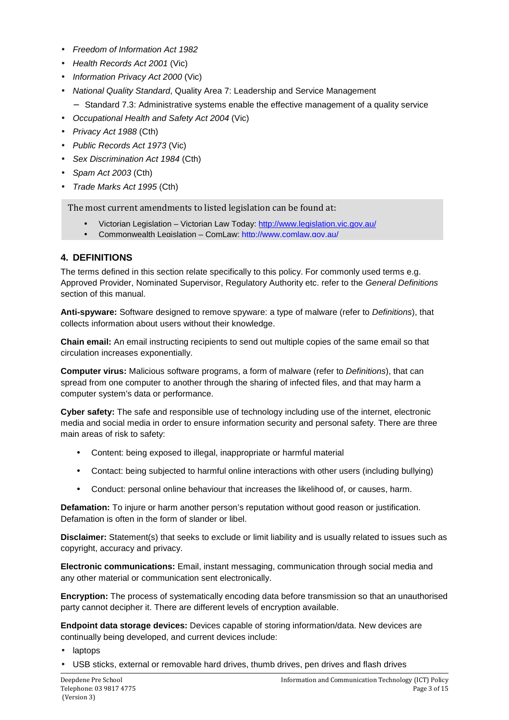- Freedom of Information Act 1982
- Health Records Act 2001 (Vic)
- Information Privacy Act 2000 (Vic)
- National Quality Standard, Quality Area 7: Leadership and Service Management
	- − Standard 7.3: Administrative systems enable the effective management of a quality service
- Occupational Health and Safety Act 2004 (Vic)
- Privacy Act 1988 (Cth)
- Public Records Act 1973 (Vic)
- Sex Discrimination Act 1984 (Cth)
- Spam Act 2003 (Cth)
- Trade Marks Act 1995 (Cth)

The most current amendments to listed legislation can be found at:

- Victorian Legislation Victorian Law Today: http://www.legislation.vic.gov.au/
- Commonwealth Legislation ComLaw: http://www.comlaw.gov.au/

### **4. DEFINITIONS**

The terms defined in this section relate specifically to this policy. For commonly used terms e.g. Approved Provider, Nominated Supervisor, Regulatory Authority etc. refer to the General Definitions section of this manual.

**Anti-spyware:** Software designed to remove spyware: a type of malware (refer to Definitions), that collects information about users without their knowledge.

**Chain email:** An email instructing recipients to send out multiple copies of the same email so that circulation increases exponentially.

**Computer virus:** Malicious software programs, a form of malware (refer to Definitions), that can spread from one computer to another through the sharing of infected files, and that may harm a computer system's data or performance.

**Cyber safety:** The safe and responsible use of technology including use of the internet, electronic media and social media in order to ensure information security and personal safety. There are three main areas of risk to safety:

- Content: being exposed to illegal, inappropriate or harmful material
- Contact: being subjected to harmful online interactions with other users (including bullying)
- Conduct: personal online behaviour that increases the likelihood of, or causes, harm.

**Defamation:** To injure or harm another person's reputation without good reason or justification. Defamation is often in the form of slander or libel.

**Disclaimer:** Statement(s) that seeks to exclude or limit liability and is usually related to issues such as copyright, accuracy and privacy.

**Electronic communications:** Email, instant messaging, communication through social media and any other material or communication sent electronically.

**Encryption:** The process of systematically encoding data before transmission so that an unauthorised party cannot decipher it. There are different levels of encryption available.

**Endpoint data storage devices:** Devices capable of storing information/data. New devices are continually being developed, and current devices include:

- laptops
- USB sticks, external or removable hard drives, thumb drives, pen drives and flash drives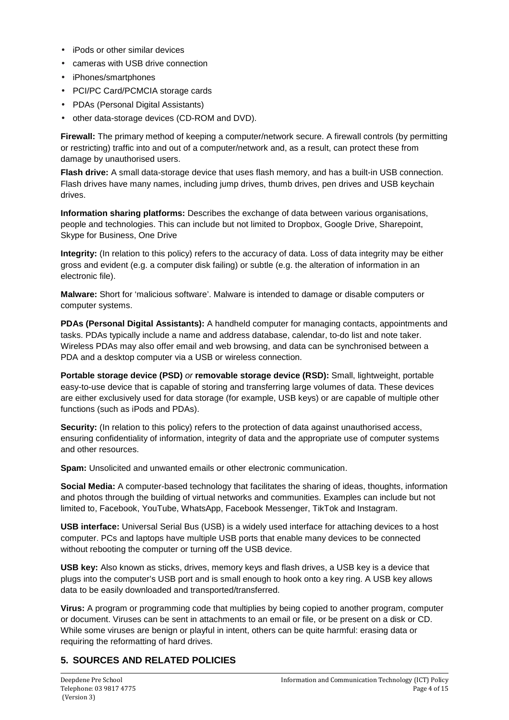- iPods or other similar devices
- cameras with USB drive connection
- iPhones/smartphones
- PCI/PC Card/PCMCIA storage cards
- PDAs (Personal Digital Assistants)
- other data-storage devices (CD-ROM and DVD).

**Firewall:** The primary method of keeping a computer/network secure. A firewall controls (by permitting or restricting) traffic into and out of a computer/network and, as a result, can protect these from damage by unauthorised users.

**Flash drive:** A small data-storage device that uses flash memory, and has a built-in USB connection. Flash drives have many names, including jump drives, thumb drives, pen drives and USB keychain drives.

**Information sharing platforms:** Describes the exchange of data between various organisations, people and technologies. This can include but not limited to Dropbox, Google Drive, Sharepoint, Skype for Business, One Drive

**Integrity:** (In relation to this policy) refers to the accuracy of data. Loss of data integrity may be either gross and evident (e.g. a computer disk failing) or subtle (e.g. the alteration of information in an electronic file).

**Malware:** Short for 'malicious software'. Malware is intended to damage or disable computers or computer systems.

**PDAs (Personal Digital Assistants):** A handheld computer for managing contacts, appointments and tasks. PDAs typically include a name and address database, calendar, to-do list and note taker. Wireless PDAs may also offer email and web browsing, and data can be synchronised between a PDA and a desktop computer via a USB or wireless connection.

**Portable storage device (PSD)** or **removable storage device (RSD):** Small, lightweight, portable easy-to-use device that is capable of storing and transferring large volumes of data. These devices are either exclusively used for data storage (for example, USB keys) or are capable of multiple other functions (such as iPods and PDAs).

**Security:** (In relation to this policy) refers to the protection of data against unauthorised access, ensuring confidentiality of information, integrity of data and the appropriate use of computer systems and other resources.

**Spam:** Unsolicited and unwanted emails or other electronic communication.

**Social Media:** A computer-based technology that facilitates the sharing of ideas, thoughts, information and photos through the building of virtual networks and communities. Examples can include but not limited to, Facebook, YouTube, WhatsApp, Facebook Messenger, TikTok and Instagram.

**USB interface:** Universal Serial Bus (USB) is a widely used interface for attaching devices to a host computer. PCs and laptops have multiple USB ports that enable many devices to be connected without rebooting the computer or turning off the USB device.

**USB key:** Also known as sticks, drives, memory keys and flash drives, a USB key is a device that plugs into the computer's USB port and is small enough to hook onto a key ring. A USB key allows data to be easily downloaded and transported/transferred.

**Virus:** A program or programming code that multiplies by being copied to another program, computer or document. Viruses can be sent in attachments to an email or file, or be present on a disk or CD. While some viruses are benign or playful in intent, others can be quite harmful: erasing data or requiring the reformatting of hard drives.

# **5. SOURCES AND RELATED POLICIES**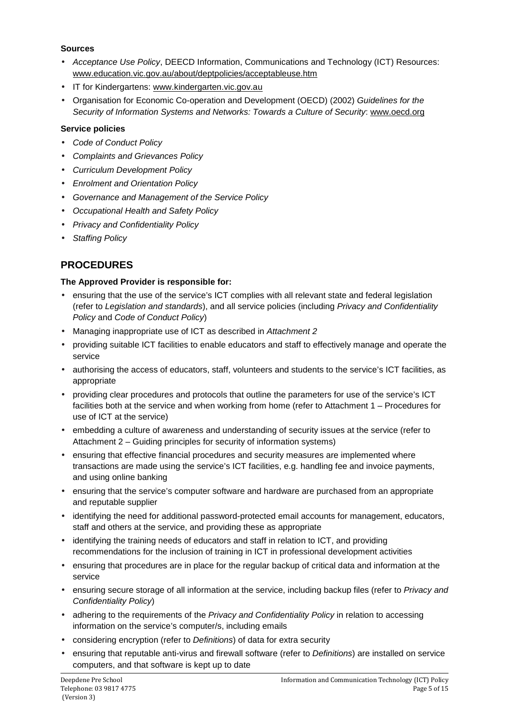### **Sources**

- Acceptance Use Policy, DEECD Information, Communications and Technology (ICT) Resources: www.education.vic.gov.au/about/deptpolicies/acceptableuse.htm
- IT for Kindergartens: www.kindergarten.vic.gov.au
- Organisation for Economic Co-operation and Development (OECD) (2002) Guidelines for the Security of Information Systems and Networks: Towards a Culture of Security: www.oecd.org

### **Service policies**

- Code of Conduct Policy
- Complaints and Grievances Policy
- Curriculum Development Policy
- Enrolment and Orientation Policy
- Governance and Management of the Service Policy
- Occupational Health and Safety Policy
- Privacy and Confidentiality Policy
- **Staffing Policy**

# **PROCEDURES**

### **The Approved Provider is responsible for:**

- ensuring that the use of the service's ICT complies with all relevant state and federal legislation (refer to Legislation and standards), and all service policies (including Privacy and Confidentiality Policy and Code of Conduct Policy)
- Managing inappropriate use of ICT as described in Attachment 2
- providing suitable ICT facilities to enable educators and staff to effectively manage and operate the service
- authorising the access of educators, staff, volunteers and students to the service's ICT facilities, as appropriate
- providing clear procedures and protocols that outline the parameters for use of the service's ICT facilities both at the service and when working from home (refer to Attachment 1 – Procedures for use of ICT at the service)
- embedding a culture of awareness and understanding of security issues at the service (refer to Attachment 2 – Guiding principles for security of information systems)
- ensuring that effective financial procedures and security measures are implemented where transactions are made using the service's ICT facilities, e.g. handling fee and invoice payments, and using online banking
- ensuring that the service's computer software and hardware are purchased from an appropriate and reputable supplier
- identifying the need for additional password-protected email accounts for management, educators, staff and others at the service, and providing these as appropriate
- identifying the training needs of educators and staff in relation to ICT, and providing recommendations for the inclusion of training in ICT in professional development activities
- ensuring that procedures are in place for the regular backup of critical data and information at the service
- ensuring secure storage of all information at the service, including backup files (refer to Privacy and Confidentiality Policy)
- adhering to the requirements of the Privacy and Confidentiality Policy in relation to accessing information on the service's computer/s, including emails
- considering encryption (refer to Definitions) of data for extra security
- ensuring that reputable anti-virus and firewall software (refer to Definitions) are installed on service computers, and that software is kept up to date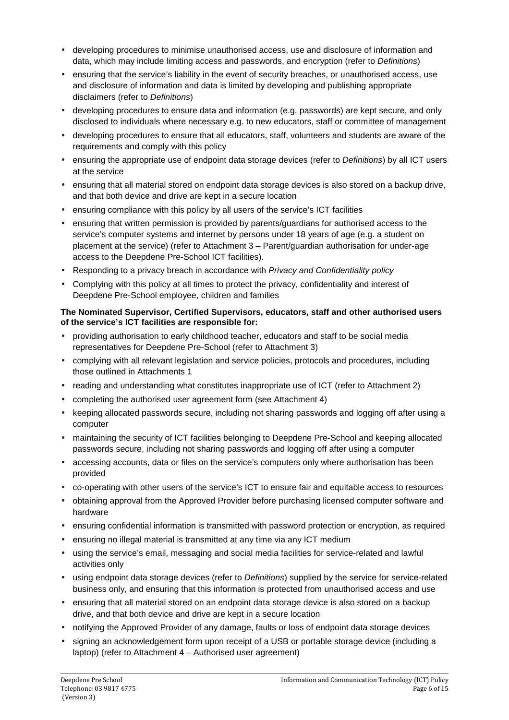- developing procedures to minimise unauthorised access, use and disclosure of information and data, which may include limiting access and passwords, and encryption (refer to Definitions)
- ensuring that the service's liability in the event of security breaches, or unauthorised access, use and disclosure of information and data is limited by developing and publishing appropriate disclaimers (refer to Definitions)
- developing procedures to ensure data and information (e.g. passwords) are kept secure, and only disclosed to individuals where necessary e.g. to new educators, staff or committee of management
- developing procedures to ensure that all educators, staff, volunteers and students are aware of the requirements and comply with this policy
- ensuring the appropriate use of endpoint data storage devices (refer to Definitions) by all ICT users at the service
- ensuring that all material stored on endpoint data storage devices is also stored on a backup drive, and that both device and drive are kept in a secure location
- ensuring compliance with this policy by all users of the service's ICT facilities
- ensuring that written permission is provided by parents/guardians for authorised access to the service's computer systems and internet by persons under 18 years of age (e.g. a student on placement at the service) (refer to Attachment 3 – Parent/guardian authorisation for under-age access to the Deepdene Pre-School ICT facilities).
- Responding to a privacy breach in accordance with Privacy and Confidentiality policy
- Complying with this policy at all times to protect the privacy, confidentiality and interest of Deepdene Pre-School employee, children and families

#### **The Nominated Supervisor, Certified Supervisors, educators, staff and other authorised users of the service's ICT facilities are responsible for:**

- providing authorisation to early childhood teacher, educators and staff to be social media representatives for Deepdene Pre-School (refer to Attachment 3)
- complying with all relevant legislation and service policies, protocols and procedures, including those outlined in Attachments 1
- reading and understanding what constitutes inappropriate use of ICT (refer to Attachment 2)
- completing the authorised user agreement form (see Attachment 4)
- keeping allocated passwords secure, including not sharing passwords and logging off after using a computer
- maintaining the security of ICT facilities belonging to Deepdene Pre-School and keeping allocated passwords secure, including not sharing passwords and logging off after using a computer
- accessing accounts, data or files on the service's computers only where authorisation has been provided
- co-operating with other users of the service's ICT to ensure fair and equitable access to resources
- obtaining approval from the Approved Provider before purchasing licensed computer software and hardware
- ensuring confidential information is transmitted with password protection or encryption, as required
- ensuring no illegal material is transmitted at any time via any ICT medium
- using the service's email, messaging and social media facilities for service-related and lawful activities only
- using endpoint data storage devices (refer to *Definitions*) supplied by the service for service-related business only, and ensuring that this information is protected from unauthorised access and use
- ensuring that all material stored on an endpoint data storage device is also stored on a backup drive, and that both device and drive are kept in a secure location
- notifying the Approved Provider of any damage, faults or loss of endpoint data storage devices
- signing an acknowledgement form upon receipt of a USB or portable storage device (including a laptop) (refer to Attachment 4 – Authorised user agreement)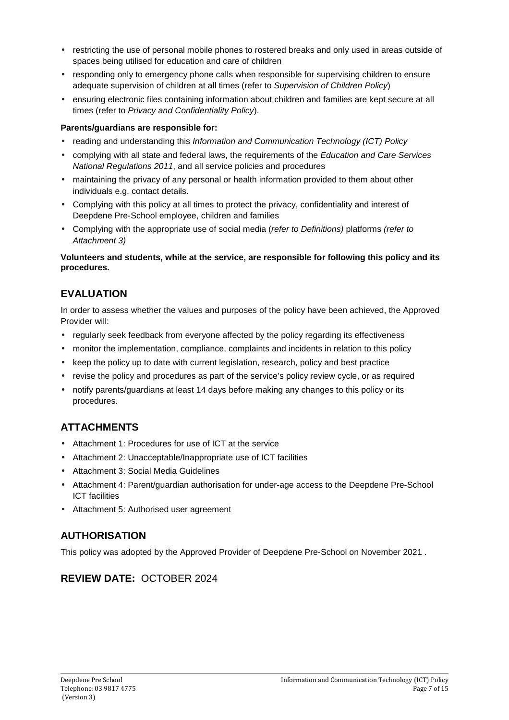- restricting the use of personal mobile phones to rostered breaks and only used in areas outside of spaces being utilised for education and care of children
- responding only to emergency phone calls when responsible for supervising children to ensure adequate supervision of children at all times (refer to Supervision of Children Policy)
- ensuring electronic files containing information about children and families are kept secure at all times (refer to Privacy and Confidentiality Policy).

### **Parents/guardians are responsible for:**

- reading and understanding this Information and Communication Technology (ICT) Policy
- complying with all state and federal laws, the requirements of the Education and Care Services National Regulations 2011, and all service policies and procedures
- maintaining the privacy of any personal or health information provided to them about other individuals e.g. contact details.
- Complying with this policy at all times to protect the privacy, confidentiality and interest of Deepdene Pre-School employee, children and families
- Complying with the appropriate use of social media (refer to Definitions) platforms (refer to Attachment 3)

#### **Volunteers and students, while at the service, are responsible for following this policy and its procedures.**

# **EVALUATION**

In order to assess whether the values and purposes of the policy have been achieved, the Approved Provider will:

- regularly seek feedback from everyone affected by the policy regarding its effectiveness
- monitor the implementation, compliance, complaints and incidents in relation to this policy
- keep the policy up to date with current legislation, research, policy and best practice
- revise the policy and procedures as part of the service's policy review cycle, or as required
- notify parents/guardians at least 14 days before making any changes to this policy or its procedures.

# **ATTACHMENTS**

- Attachment 1: Procedures for use of ICT at the service
- Attachment 2: Unacceptable/Inappropriate use of ICT facilities
- Attachment 3: Social Media Guidelines
- Attachment 4: Parent/guardian authorisation for under-age access to the Deepdene Pre-School ICT facilities
- Attachment 5: Authorised user agreement

## **AUTHORISATION**

This policy was adopted by the Approved Provider of Deepdene Pre-School on November 2021 .

## **REVIEW DATE:** OCTOBER 2024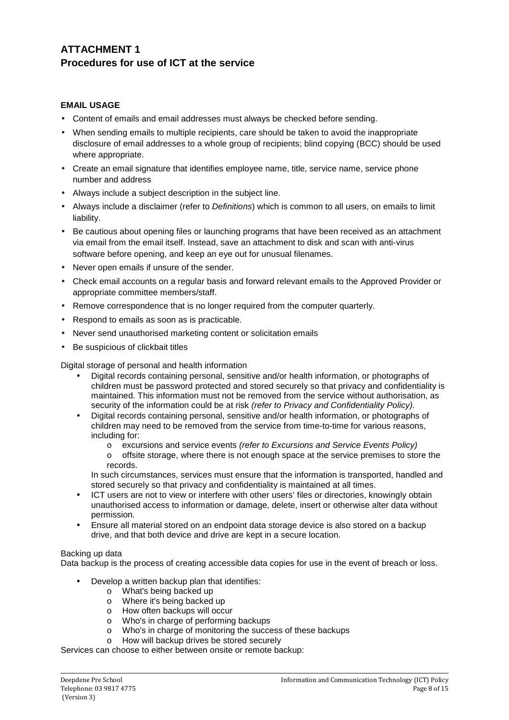# **ATTACHMENT 1 Procedures for use of ICT at the service**

### **EMAIL USAGE**

- Content of emails and email addresses must always be checked before sending.
- When sending emails to multiple recipients, care should be taken to avoid the inappropriate disclosure of email addresses to a whole group of recipients; blind copying (BCC) should be used where appropriate.
- Create an email signature that identifies employee name, title, service name, service phone number and address
- Always include a subject description in the subject line.
- Always include a disclaimer (refer to Definitions) which is common to all users, on emails to limit liability.
- Be cautious about opening files or launching programs that have been received as an attachment via email from the email itself. Instead, save an attachment to disk and scan with anti-virus software before opening, and keep an eye out for unusual filenames.
- Never open emails if unsure of the sender.
- Check email accounts on a regular basis and forward relevant emails to the Approved Provider or appropriate committee members/staff.
- Remove correspondence that is no longer required from the computer quarterly.
- Respond to emails as soon as is practicable.
- Never send unauthorised marketing content or solicitation emails
- Be suspicious of clickbait titles

Digital storage of personal and health information

- Digital records containing personal, sensitive and/or health information, or photographs of children must be password protected and stored securely so that privacy and confidentiality is maintained. This information must not be removed from the service without authorisation, as security of the information could be at risk (refer to Privacy and Confidentiality Policy).
- Digital records containing personal, sensitive and/or health information, or photographs of children may need to be removed from the service from time-to-time for various reasons, including for:
	- o excursions and service events (refer to Excursions and Service Events Policy)
	- o offsite storage, where there is not enough space at the service premises to store the records.

In such circumstances, services must ensure that the information is transported, handled and stored securely so that privacy and confidentiality is maintained at all times.

- ICT users are not to view or interfere with other users' files or directories, knowingly obtain unauthorised access to information or damage, delete, insert or otherwise alter data without permission.
- Ensure all material stored on an endpoint data storage device is also stored on a backup drive, and that both device and drive are kept in a secure location.

#### Backing up data

Data backup is the process of creating accessible data copies for use in the event of breach or loss.

- Develop a written backup plan that identifies:
	- o What's being backed up
	- o Where it's being backed up
	- o How often backups will occur
	- o Who's in charge of performing backups
	- o Who's in charge of monitoring the success of these backups
	- o How will backup drives be stored securely

Services can choose to either between onsite or remote backup: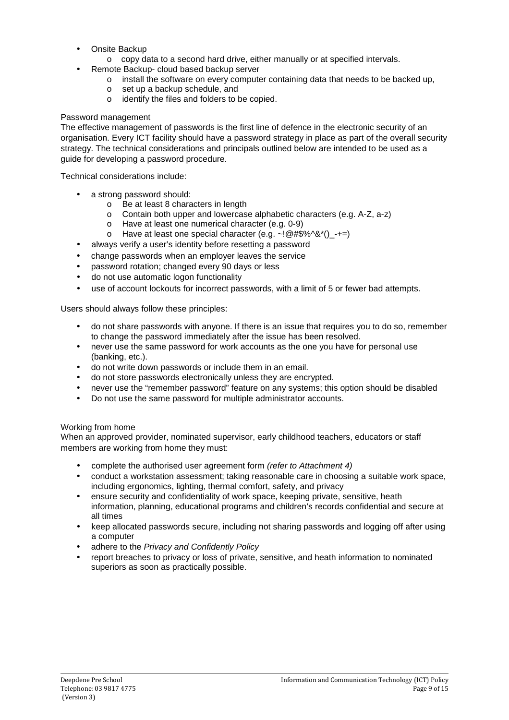- Onsite Backup
	- o copy data to a second hard drive, either manually or at specified intervals.
	- Remote Backup- cloud based backup server
		- $\circ$  install the software on every computer containing data that needs to be backed up.
		- o set up a backup schedule, and
		- o identify the files and folders to be copied.

#### Password management

The effective management of passwords is the first line of defence in the electronic security of an organisation. Every ICT facility should have a password strategy in place as part of the overall security strategy. The technical considerations and principals outlined below are intended to be used as a guide for developing a password procedure.

Technical considerations include:

- a strong password should:
	- o Be at least 8 characters in length
	- o Contain both upper and lowercase alphabetic characters (e.g. A-Z, a-z)
	- o Have at least one numerical character (e.g. 0-9)
	- o Have at least one special character (e.g.  $\sim$ ! @#\$%^&\*()\_-+=)
- always verify a user's identity before resetting a password
- change passwords when an employer leaves the service
- password rotation; changed every 90 days or less
- do not use automatic logon functionality
- use of account lockouts for incorrect passwords, with a limit of 5 or fewer bad attempts.

Users should always follow these principles:

- do not share passwords with anyone. If there is an issue that requires you to do so, remember to change the password immediately after the issue has been resolved.
- never use the same password for work accounts as the one you have for personal use (banking, etc.).
- do not write down passwords or include them in an email.
- do not store passwords electronically unless they are encrypted.
- never use the "remember password" feature on any systems; this option should be disabled
- Do not use the same password for multiple administrator accounts.

#### Working from home

When an approved provider, nominated supervisor, early childhood teachers, educators or staff members are working from home they must:

- complete the authorised user agreement form (refer to Attachment 4)
- conduct a workstation assessment; taking reasonable care in choosing a suitable work space, including ergonomics, lighting, thermal comfort, safety, and privacy
- ensure security and confidentiality of work space, keeping private, sensitive, heath information, planning, educational programs and children's records confidential and secure at all times
- keep allocated passwords secure, including not sharing passwords and logging off after using a computer
- adhere to the Privacy and Confidently Policy
- report breaches to privacy or loss of private, sensitive, and heath information to nominated superiors as soon as practically possible.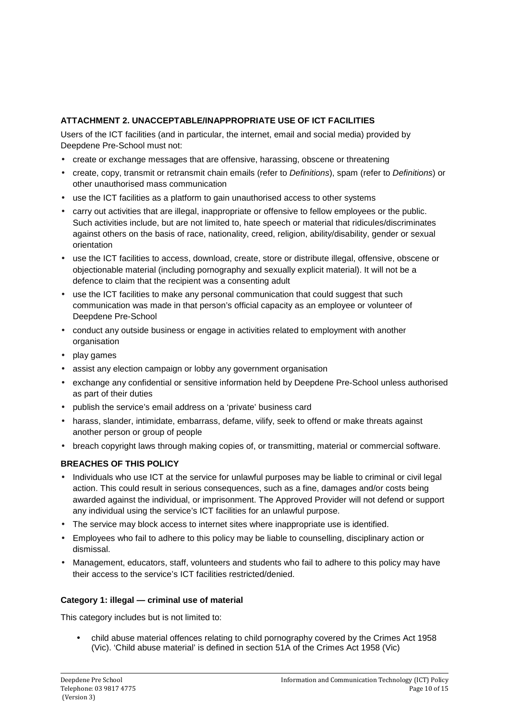### **ATTACHMENT 2. UNACCEPTABLE/INAPPROPRIATE USE OF ICT FACILITIES**

Users of the ICT facilities (and in particular, the internet, email and social media) provided by Deepdene Pre-School must not:

- create or exchange messages that are offensive, harassing, obscene or threatening
- create, copy, transmit or retransmit chain emails (refer to Definitions), spam (refer to Definitions) or other unauthorised mass communication
- use the ICT facilities as a platform to gain unauthorised access to other systems
- carry out activities that are illegal, inappropriate or offensive to fellow employees or the public. Such activities include, but are not limited to, hate speech or material that ridicules/discriminates against others on the basis of race, nationality, creed, religion, ability/disability, gender or sexual orientation
- use the ICT facilities to access, download, create, store or distribute illegal, offensive, obscene or objectionable material (including pornography and sexually explicit material). It will not be a defence to claim that the recipient was a consenting adult
- use the ICT facilities to make any personal communication that could suggest that such communication was made in that person's official capacity as an employee or volunteer of Deepdene Pre-School
- conduct any outside business or engage in activities related to employment with another organisation
- play games
- assist any election campaign or lobby any government organisation
- exchange any confidential or sensitive information held by Deepdene Pre-School unless authorised as part of their duties
- publish the service's email address on a 'private' business card
- harass, slander, intimidate, embarrass, defame, vilify, seek to offend or make threats against another person or group of people
- breach copyright laws through making copies of, or transmitting, material or commercial software.

### **BREACHES OF THIS POLICY**

- Individuals who use ICT at the service for unlawful purposes may be liable to criminal or civil legal action. This could result in serious consequences, such as a fine, damages and/or costs being awarded against the individual, or imprisonment. The Approved Provider will not defend or support any individual using the service's ICT facilities for an unlawful purpose.
- The service may block access to internet sites where inappropriate use is identified.
- Employees who fail to adhere to this policy may be liable to counselling, disciplinary action or dismissal.
- Management, educators, staff, volunteers and students who fail to adhere to this policy may have their access to the service's ICT facilities restricted/denied.

### **Category 1: illegal — criminal use of material**

This category includes but is not limited to:

• child abuse material offences relating to child pornography covered by the Crimes Act 1958 (Vic). 'Child abuse material' is defined in section 51A of the Crimes Act 1958 (Vic)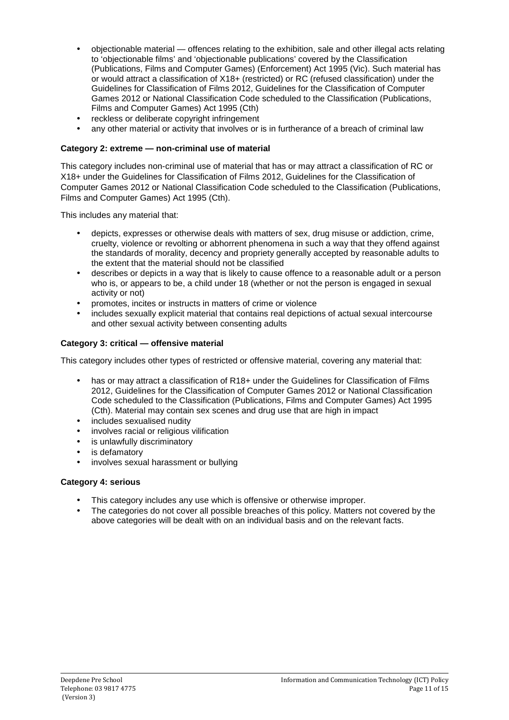- objectionable material offences relating to the exhibition, sale and other illegal acts relating to 'objectionable films' and 'objectionable publications' covered by the Classification (Publications, Films and Computer Games) (Enforcement) Act 1995 (Vic). Such material has or would attract a classification of X18+ (restricted) or RC (refused classification) under the Guidelines for Classification of Films 2012, Guidelines for the Classification of Computer Games 2012 or National Classification Code scheduled to the Classification (Publications, Films and Computer Games) Act 1995 (Cth)
- reckless or deliberate copyright infringement
- any other material or activity that involves or is in furtherance of a breach of criminal law

### **Category 2: extreme — non-criminal use of material**

This category includes non-criminal use of material that has or may attract a classification of RC or X18+ under the Guidelines for Classification of Films 2012, Guidelines for the Classification of Computer Games 2012 or National Classification Code scheduled to the Classification (Publications, Films and Computer Games) Act 1995 (Cth).

This includes any material that:

- depicts, expresses or otherwise deals with matters of sex, drug misuse or addiction, crime, cruelty, violence or revolting or abhorrent phenomena in such a way that they offend against the standards of morality, decency and propriety generally accepted by reasonable adults to the extent that the material should not be classified
- describes or depicts in a way that is likely to cause offence to a reasonable adult or a person who is, or appears to be, a child under 18 (whether or not the person is engaged in sexual activity or not)
- promotes, incites or instructs in matters of crime or violence
- includes sexually explicit material that contains real depictions of actual sexual intercourse and other sexual activity between consenting adults

### **Category 3: critical — offensive material**

This category includes other types of restricted or offensive material, covering any material that:

- has or may attract a classification of R18+ under the Guidelines for Classification of Films 2012, Guidelines for the Classification of Computer Games 2012 or National Classification Code scheduled to the Classification (Publications, Films and Computer Games) Act 1995 (Cth). Material may contain sex scenes and drug use that are high in impact
- includes sexualised nudity
- involves racial or religious vilification
- is unlawfully discriminatory
- is defamatory
- involves sexual harassment or bullying

### **Category 4: serious**

- This category includes any use which is offensive or otherwise improper.
- The categories do not cover all possible breaches of this policy. Matters not covered by the above categories will be dealt with on an individual basis and on the relevant facts.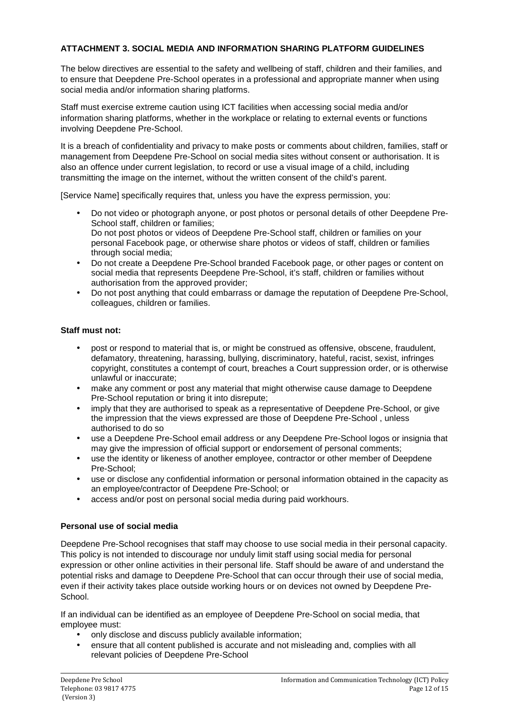### **ATTACHMENT 3. SOCIAL MEDIA AND INFORMATION SHARING PLATFORM GUIDELINES**

The below directives are essential to the safety and wellbeing of staff, children and their families, and to ensure that Deepdene Pre-School operates in a professional and appropriate manner when using social media and/or information sharing platforms.

Staff must exercise extreme caution using ICT facilities when accessing social media and/or information sharing platforms, whether in the workplace or relating to external events or functions involving Deepdene Pre-School.

It is a breach of confidentiality and privacy to make posts or comments about children, families, staff or management from Deepdene Pre-School on social media sites without consent or authorisation. It is also an offence under current legislation, to record or use a visual image of a child, including transmitting the image on the internet, without the written consent of the child's parent.

[Service Name] specifically requires that, unless you have the express permission, you:

- Do not video or photograph anyone, or post photos or personal details of other Deepdene Pre-School staff, children or families; Do not post photos or videos of Deepdene Pre-School staff, children or families on your personal Facebook page, or otherwise share photos or videos of staff, children or families through social media;
- Do not create a Deepdene Pre-School branded Facebook page, or other pages or content on social media that represents Deepdene Pre-School, it's staff, children or families without authorisation from the approved provider;
- Do not post anything that could embarrass or damage the reputation of Deepdene Pre-School, colleagues, children or families.

### **Staff must not:**

- post or respond to material that is, or might be construed as offensive, obscene, fraudulent, defamatory, threatening, harassing, bullying, discriminatory, hateful, racist, sexist, infringes copyright, constitutes a contempt of court, breaches a Court suppression order, or is otherwise unlawful or inaccurate;
- make any comment or post any material that might otherwise cause damage to Deepdene Pre-School reputation or bring it into disrepute;
- imply that they are authorised to speak as a representative of Deepdene Pre-School, or give the impression that the views expressed are those of Deepdene Pre-School , unless authorised to do so
- use a Deepdene Pre-School email address or any Deepdene Pre-School logos or insignia that may give the impression of official support or endorsement of personal comments;
- use the identity or likeness of another employee, contractor or other member of Deepdene Pre-School;
- use or disclose any confidential information or personal information obtained in the capacity as an employee/contractor of Deepdene Pre-School; or
- access and/or post on personal social media during paid workhours.

### **Personal use of social media**

Deepdene Pre-School recognises that staff may choose to use social media in their personal capacity. This policy is not intended to discourage nor unduly limit staff using social media for personal expression or other online activities in their personal life. Staff should be aware of and understand the potential risks and damage to Deepdene Pre-School that can occur through their use of social media, even if their activity takes place outside working hours or on devices not owned by Deepdene Pre-**School.** 

If an individual can be identified as an employee of Deepdene Pre-School on social media, that employee must:

- only disclose and discuss publicly available information;
- ensure that all content published is accurate and not misleading and, complies with all relevant policies of Deepdene Pre-School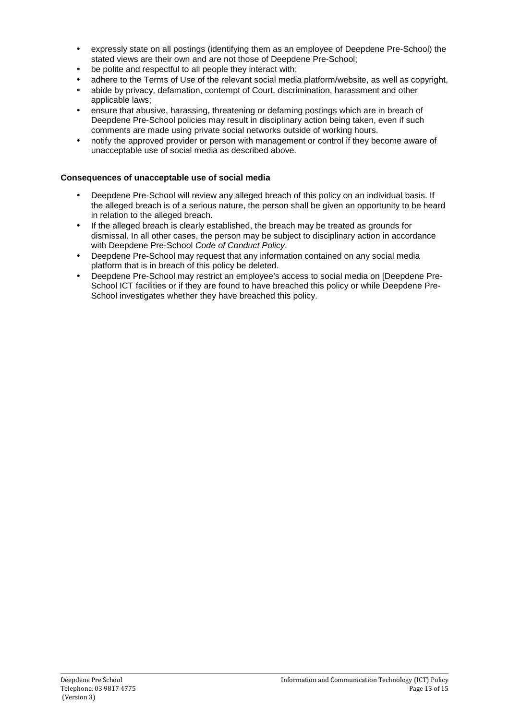- expressly state on all postings (identifying them as an employee of Deepdene Pre-School) the stated views are their own and are not those of Deepdene Pre-School;
- be polite and respectful to all people they interact with;
- adhere to the Terms of Use of the relevant social media platform/website, as well as copyright,
- abide by privacy, defamation, contempt of Court, discrimination, harassment and other applicable laws;
- ensure that abusive, harassing, threatening or defaming postings which are in breach of Deepdene Pre-School policies may result in disciplinary action being taken, even if such comments are made using private social networks outside of working hours.
- notify the approved provider or person with management or control if they become aware of unacceptable use of social media as described above.

### **Consequences of unacceptable use of social media**

- Deepdene Pre-School will review any alleged breach of this policy on an individual basis. If the alleged breach is of a serious nature, the person shall be given an opportunity to be heard in relation to the alleged breach.
- If the alleged breach is clearly established, the breach may be treated as grounds for dismissal. In all other cases, the person may be subject to disciplinary action in accordance with Deepdene Pre-School Code of Conduct Policy.
- Deepdene Pre-School may request that any information contained on any social media platform that is in breach of this policy be deleted.
- Deepdene Pre-School may restrict an employee's access to social media on [Deepdene Pre-School ICT facilities or if they are found to have breached this policy or while Deepdene Pre-School investigates whether they have breached this policy.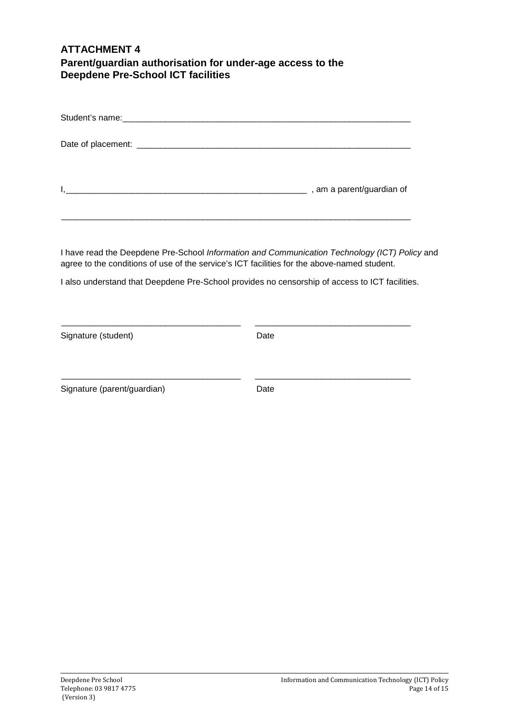### **ATTACHMENT 4 Parent/guardian authorisation for under-age access to the Deepdene Pre-School ICT facilities**

I have read the Deepdene Pre-School Information and Communication Technology (ICT) Policy and agree to the conditions of use of the service's ICT facilities for the above-named student.

I also understand that Deepdene Pre-School provides no censorship of access to ICT facilities.

\_\_\_\_\_\_\_\_\_\_\_\_\_\_\_\_\_\_\_\_\_\_\_\_\_\_\_\_\_\_\_\_\_\_\_\_\_\_ \_\_\_\_\_\_\_\_\_\_\_\_\_\_\_\_\_\_\_\_\_\_\_\_\_\_\_\_\_\_\_\_\_

\_\_\_\_\_\_\_\_\_\_\_\_\_\_\_\_\_\_\_\_\_\_\_\_\_\_\_\_\_\_\_\_\_\_\_\_\_\_ \_\_\_\_\_\_\_\_\_\_\_\_\_\_\_\_\_\_\_\_\_\_\_\_\_\_\_\_\_\_\_\_\_

| Signature (student) | Date |
|---------------------|------|
|                     |      |

Signature (parent/guardian) Date